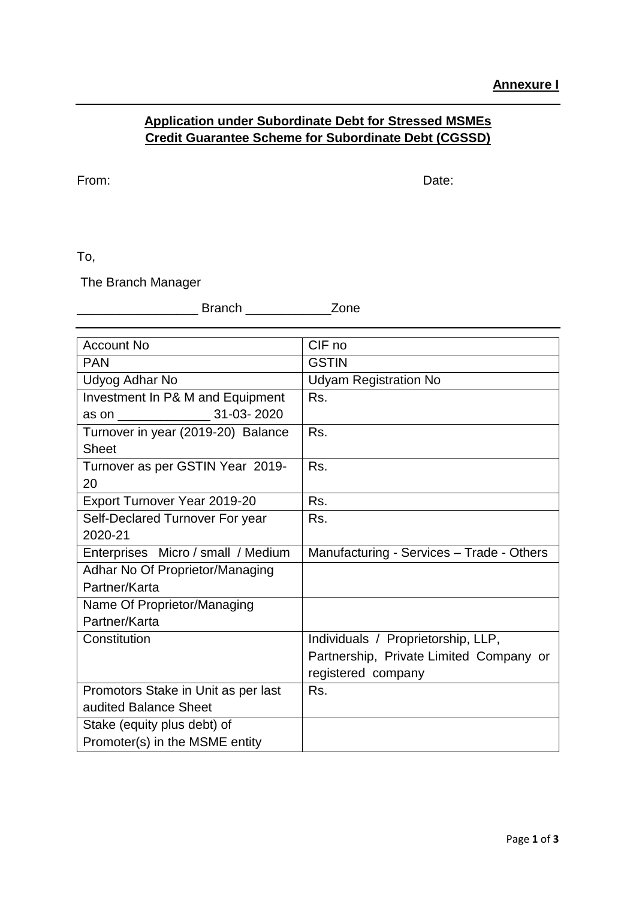## **Application under Subordinate Debt for Stressed MSMEs Credit Guarantee Scheme for Subordinate Debt (CGSSD)**

From: Date: Note: Note: Note: Note: Note: Note: Note: Note: Note: Note: Note: Note: Note: Note: Note: Note: Note: Note: Note: Note: Note: Note: Note: Note: Note: Note: Note: Note: Note: Note: Note: Note: Note: Note: Note:

To,

The Branch Manager

\_\_\_\_\_\_\_\_\_\_\_\_\_\_\_\_\_ Branch \_\_\_\_\_\_\_\_\_\_\_\_Zone

| <b>Account No</b>                   | CIF no                                    |
|-------------------------------------|-------------------------------------------|
| <b>PAN</b>                          | <b>GSTIN</b>                              |
| Udyog Adhar No                      | <b>Udyam Registration No</b>              |
| Investment In P& M and Equipment    | Rs.                                       |
| 31-03-2020<br>as on _______________ |                                           |
| Turnover in year (2019-20) Balance  | Rs.                                       |
| <b>Sheet</b>                        |                                           |
| Turnover as per GSTIN Year 2019-    | Rs.                                       |
| 20                                  |                                           |
| Export Turnover Year 2019-20        | Rs.                                       |
| Self-Declared Turnover For year     | Rs.                                       |
| 2020-21                             |                                           |
| Enterprises Micro / small / Medium  | Manufacturing - Services - Trade - Others |
| Adhar No Of Proprietor/Managing     |                                           |
| Partner/Karta                       |                                           |
| Name Of Proprietor/Managing         |                                           |
| Partner/Karta                       |                                           |
| Constitution                        | Individuals / Proprietorship, LLP,        |
|                                     | Partnership, Private Limited Company or   |
|                                     | registered company                        |
| Promotors Stake in Unit as per last | Rs.                                       |
| audited Balance Sheet               |                                           |
| Stake (equity plus debt) of         |                                           |
| Promoter(s) in the MSME entity      |                                           |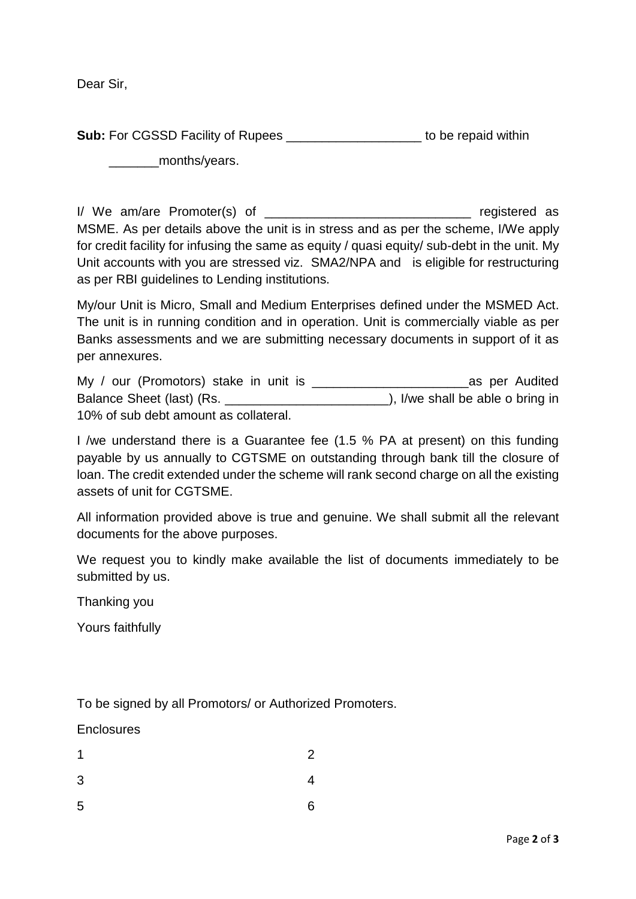Dear Sir,

**Sub:** For CGSSD Facility of Rupees **Example 20 and Structure 10** to be repaid within months/vears.

I/ We am/are Promoter(s) of \_\_\_\_\_\_\_\_\_\_\_\_\_\_\_\_\_\_\_\_\_\_\_\_\_\_\_\_\_\_\_\_\_ registered as MSME. As per details above the unit is in stress and as per the scheme, I/We apply for credit facility for infusing the same as equity / quasi equity/ sub-debt in the unit. My Unit accounts with you are stressed viz. SMA2/NPA and is eligible for restructuring as per RBI guidelines to Lending institutions.

My/our Unit is Micro, Small and Medium Enterprises defined under the MSMED Act. The unit is in running condition and in operation. Unit is commercially viable as per Banks assessments and we are submitting necessary documents in support of it as per annexures.

| My / our (Promotors) stake in unit is | as per Audited                   |
|---------------------------------------|----------------------------------|
| Balance Sheet (last) (Rs.             | ), I/we shall be able o bring in |
| 10% of sub debt amount as collateral. |                                  |

I /we understand there is a Guarantee fee (1.5 % PA at present) on this funding payable by us annually to CGTSME on outstanding through bank till the closure of loan. The credit extended under the scheme will rank second charge on all the existing assets of unit for CGTSME.

All information provided above is true and genuine. We shall submit all the relevant documents for the above purposes.

We request you to kindly make available the list of documents immediately to be submitted by us.

Thanking you

Yours faithfully

To be signed by all Promotors/ or Authorized Promoters.

**Enclosures** 

| $\mathbf 1$ | $\overline{c}$           |
|-------------|--------------------------|
| 3           | $\overline{\mathcal{A}}$ |
| 5           | $\overline{6}$           |